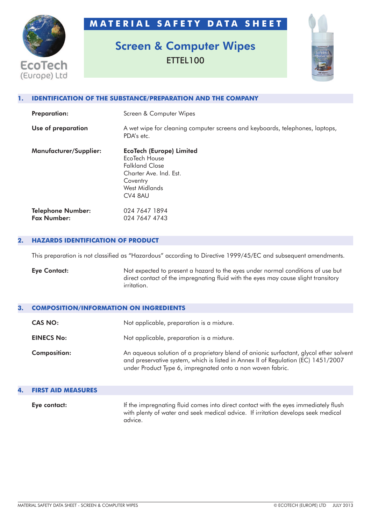**M A T E R I A L S A F E T Y D A T A S H E E T**

# **EcoTech** (Europe) Ltd

## **Screen & Computer Wipes** ETTEL100



#### **1. IDENTIFICATION OF THE SUBSTANCE/PREPARATION AND THE COMPANY**

| <b>Preparation:</b>                            | Screen & Computer Wipes                                                                                                                            |
|------------------------------------------------|----------------------------------------------------------------------------------------------------------------------------------------------------|
| Use of preparation                             | A wet wipe for cleaning computer screens and keyboards, telephones, laptops,<br>PDA's etc.                                                         |
| <b>Manufacturer/Supplier:</b>                  | <b>EcoTech (Europe) Limited</b><br>EcoTech House<br><b>Falkland Close</b><br>Charter Ave. Ind. Est.<br>Coventry<br><b>West Midlands</b><br>CV4 8AU |
| <b>Telephone Number:</b><br><b>Fax Number:</b> | 024 7647 1894<br>024 7647 4743                                                                                                                     |

#### **2. HAZARDS IDENTIFICATION OF PRODUCT**

This preparation is not classified as "Hazardous" according to Directive 1999/45/EC and subsequent amendments.

**Eye Contact:** Not expected to present a hazard to the eyes under normal conditions of use but direct contact of the impregnating fluid with the eyes may cause slight transitory irritation.

#### **3. COMPOSITION/INFORMATION ON INGREDIENTS**

| CAS NO:             | Not applicable, preparation is a mixture.                                                                                                                                                                                                 |
|---------------------|-------------------------------------------------------------------------------------------------------------------------------------------------------------------------------------------------------------------------------------------|
| <b>EINECS No:</b>   | Not applicable, preparation is a mixture.                                                                                                                                                                                                 |
| <b>Composition:</b> | An aqueous solution of a proprietary blend of anionic surfactant, glycol ether solvent<br>and preservative system, which is listed in Annex II of Regulation (EC) 1451/2007<br>under Product Type 6, impregnated onto a non woven fabric. |

### **4. FIRST AID MEASURES Eye contact:** If the impregnating fluid comes into direct contact with the eyes immediately flush with plenty of water and seek medical advice. If irritation develops seek medical advice.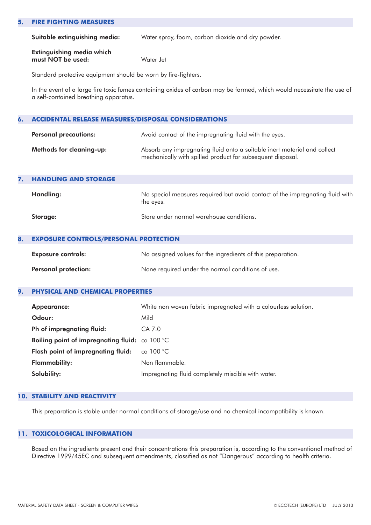#### **5. FIRE FIGHTING MEASURES**

**Suitable extinguishing media:** Water spray, foam, carbon dioxide and dry powder.

**Extinguishing media which must NOT be used:** Water Jet

Standard protective equipment should be worn by fire-fighters.

In the event of a large fire toxic fumes containing oxides of carbon may be formed, which would necessitate the use of a self-contained breathing apparatus.

#### **6. ACCIDENTAL RELEASE MEASURES/DISPOSAL CONSIDERATIONS**

| <b>Personal precautions:</b>    | Avoid contact of the impregnating fluid with the eyes.                                                                                 |
|---------------------------------|----------------------------------------------------------------------------------------------------------------------------------------|
| <b>Methods for cleaning-up:</b> | Absorb any impregnating fluid onto a suitable inert material and collect<br>mechanically with spilled product for subsequent disposal. |

| 7. | <b>HANDLING AND STORAGE</b> |                                                                                            |
|----|-----------------------------|--------------------------------------------------------------------------------------------|
|    | Handling:                   | No special measures required but avoid contact of the impregnating fluid with<br>the eyes. |
|    | Storage:                    | Store under normal warehouse conditions.                                                   |

#### **8. EXPOSURE CONTROLS/PERSONAL PROTECTION**

| <b>Exposure controls:</b>   | No assigned values for the ingredients of this preparation. |
|-----------------------------|-------------------------------------------------------------|
| <b>Personal protection:</b> | None required under the normal conditions of use.           |

#### **9. PHYSICAL AND CHEMICAL PROPERTIES**

| <b>Appearance:</b>                             | White non woven fabric impregnated with a colourless solution. |
|------------------------------------------------|----------------------------------------------------------------|
| Odour:                                         | Mild                                                           |
| Ph of impregnating fluid:                      | CA 7.0                                                         |
| Boiling point of impregnating fluid: ca 100 °C |                                                                |
| Flash point of impregnating fluid:             | ca $100\,^{\circ}$ C                                           |
| <b>Flammability:</b>                           | Non flammable.                                                 |
| Solubility:                                    | Impregnating fluid completely miscible with water.             |

#### **10. STABILITY AND REACTIVITY**

This preparation is stable under normal conditions of storage/use and no chemical incompatibility is known.

#### **11. TOXICOLOGICAL INFORMATION**

Based on the ingredients present and their concentrations this preparation is, according to the conventional method of Directive 1999/45EC and subsequent amendments, classified as not "Dangerous" according to health criteria.